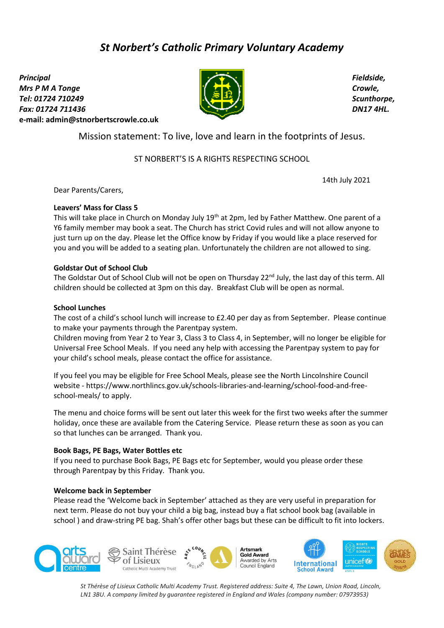# *St Norbert's Catholic Primary Voluntary Academy*

*Principal Mrs P M A Tonge Tel: 01724 710249 Fax: 01724 711436*  **e-mail: [admin@stnorbertscrowle.co.uk](mailto:admin@stnorbertscrowle.co.uk)**



*Fieldside, Crowle, Scunthorpe, DN17 4HL.*

Mission statement: To live, love and learn in the footprints of Jesus.

## ST NORBERT'S IS A RIGHTS RESPECTING SCHOOL

14th July 2021

Dear Parents/Carers,

### **Leavers' Mass for Class 5**

This will take place in Church on Monday July 19<sup>th</sup> at 2pm, led by Father Matthew. One parent of a Y6 family member may book a seat. The Church has strict Covid rules and will not allow anyone to just turn up on the day. Please let the Office know by Friday if you would like a place reserved for you and you will be added to a seating plan. Unfortunately the children are not allowed to sing.

### **Goldstar Out of School Club**

The Goldstar Out of School Club will not be open on Thursday 22<sup>nd</sup> July, the last day of this term. All children should be collected at 3pm on this day. Breakfast Club will be open as normal.

### **School Lunches**

The cost of a child's school lunch will increase to £2.40 per day as from September. Please continue to make your payments through the Parentpay system.

Children moving from Year 2 to Year 3, Class 3 to Class 4, in September, will no longer be eligible for Universal Free School Meals. If you need any help with accessing the Parentpay system to pay for your child's school meals, please contact the office for assistance.

If you feel you may be eligible for Free School Meals, please see the North Lincolnshire Council website - https://www.northlincs.gov.uk/schools-libraries-and-learning/school-food-and-freeschool-meals/ to apply.

The menu and choice forms will be sent out later this week for the first two weeks after the summer holiday, once these are available from the Catering Service. Please return these as soon as you can so that lunches can be arranged. Thank you.

### **Book Bags, PE Bags, Water Bottles etc**

If you need to purchase Book Bags, PE Bags etc for September, would you please order these through Parentpay by this Friday. Thank you.

### **Welcome back in September**

Please read the 'Welcome back in September' attached as they are very useful in preparation for next term. Please do not buy your child a big bag, instead buy a flat school book bag (available in school ) and draw-string PE bag. Shah's offer other bags but these can be difficult to fit into lockers.



*St Thérèse of Lisieux Catholic Multi Academy Trust. Registered address: Suite 4, The Lawn, Union Road, Lincoln, LN1 3BU. A company limited by guarantee registered in England and Wales (company number: 07973953)*